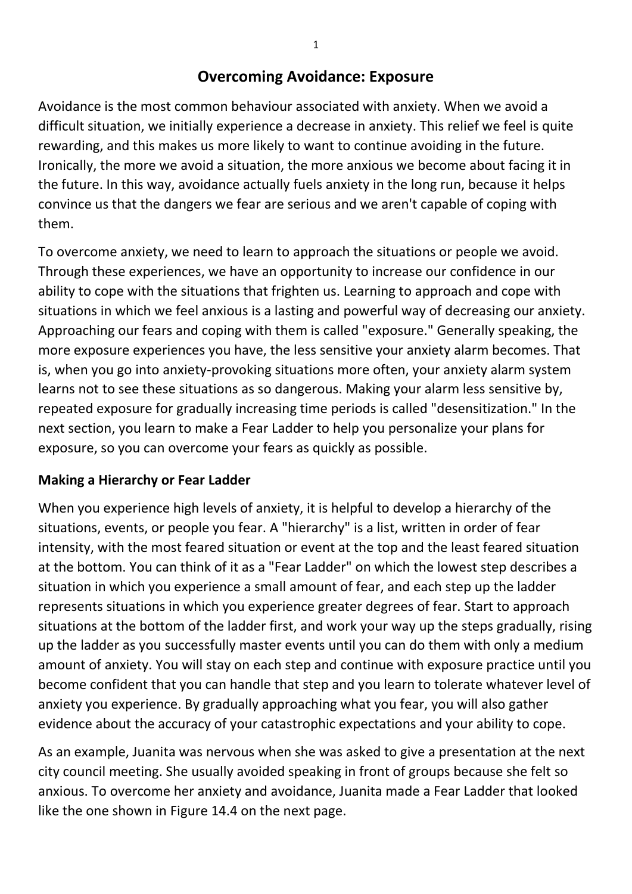## **Overcoming Avoidance: Exposure**

Avoidance is the most common behaviour associated with anxiety. When we avoid a difficult situation, we initially experience a decrease in anxiety. This relief we feel is quite rewarding, and this makes us more likely to want to continue avoiding in the future. Ironically, the more we avoid a situation, the more anxious we become about facing it in the future. In this way, avoidance actually fuels anxiety in the long run, because it helps convince us that the dangers we fear are serious and we aren't capable of coping with them.

To overcome anxiety, we need to learn to approach the situations or people we avoid. Through these experiences, we have an opportunity to increase our confidence in our ability to cope with the situations that frighten us. Learning to approach and cope with situations in which we feel anxious is a lasting and powerful way of decreasing our anxiety. Approaching our fears and coping with them is called "exposure." Generally speaking, the more exposure experiences you have, the less sensitive your anxiety alarm becomes. That is, when you go into anxiety-provoking situations more often, your anxiety alarm system learns not to see these situations as so dangerous. Making your alarm less sensitive by, repeated exposure for gradually increasing time periods is called "desensitization." In the next section, you learn to make a Fear Ladder to help you personalize your plans for exposure, so you can overcome your fears as quickly as possible.

## **Making a Hierarchy or Fear Ladder**

When you experience high levels of anxiety, it is helpful to develop a hierarchy of the situations, events, or people you fear. A "hierarchy" is a list, written in order of fear intensity, with the most feared situation or event at the top and the least feared situation at the bottom. You can think of it as a "Fear Ladder" on which the lowest step describes a situation in which you experience a small amount of fear, and each step up the ladder represents situations in which you experience greater degrees of fear. Start to approach situations at the bottom of the ladder first, and work your way up the steps gradually, rising up the ladder as you successfully master events until you can do them with only a medium amount of anxiety. You will stay on each step and continue with exposure practice until you become confident that you can handle that step and you learn to tolerate whatever level of anxiety you experience. By gradually approaching what you fear, you will also gather evidence about the accuracy of your catastrophic expectations and your ability to cope.

As an example, Juanita was nervous when she was asked to give a presentation at the next city council meeting. She usually avoided speaking in front of groups because she felt so anxious. To overcome her anxiety and avoidance, Juanita made a Fear Ladder that looked like the one shown in Figure 14.4 on the next page.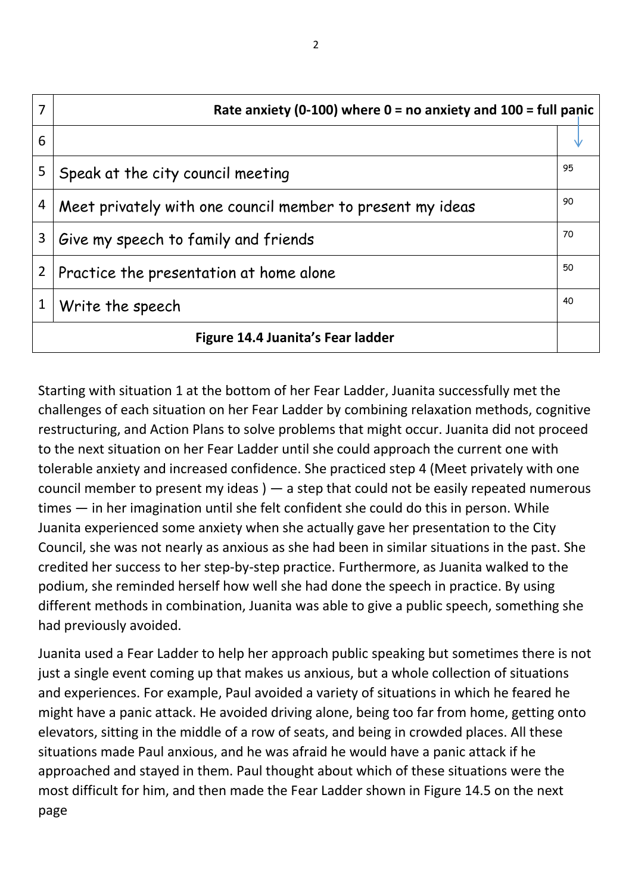| $\overline{7}$                    | Rate anxiety (0-100) where $0 = no$ anxiety and $100 = full$ panic |     |  |
|-----------------------------------|--------------------------------------------------------------------|-----|--|
| 6                                 |                                                                    |     |  |
| 5                                 | Speak at the city council meeting                                  | 95  |  |
| $\overline{4}$                    | Meet privately with one council member to present my ideas         | 90  |  |
| 3                                 | Give my speech to family and friends                               | 70  |  |
| $\overline{2}$                    | Practice the presentation at home alone                            | .50 |  |
|                                   | Write the speech                                                   | 40  |  |
| Figure 14.4 Juanita's Fear ladder |                                                                    |     |  |

Starting with situation 1 at the bottom of her Fear Ladder, Juanita successfully met the challenges of each situation on her Fear Ladder by combining relaxation methods, cognitive restructuring, and Action Plans to solve problems that might occur. Juanita did not proceed to the next situation on her Fear Ladder until she could approach the current one with tolerable anxiety and increased confidence. She practiced step 4 (Meet privately with one council member to present my ideas  $)$   $-$  a step that could not be easily repeated numerous times — in her imagination until she felt confident she could do this in person. While Juanita experienced some anxiety when she actually gave her presentation to the City Council, she was not nearly as anxious as she had been in similar situations in the past. She credited her success to her step-by-step practice. Furthermore, as Juanita walked to the podium, she reminded herself how well she had done the speech in practice. By using different methods in combination, Juanita was able to give a public speech, something she had previously avoided.

Juanita used a Fear Ladder to help her approach public speaking but sometimes there is not just a single event coming up that makes us anxious, but a whole collection of situations and experiences. For example, Paul avoided a variety of situations in which he feared he might have a panic attack. He avoided driving alone, being too far from home, getting onto elevators, sitting in the middle of a row of seats, and being in crowded places. All these situations made Paul anxious, and he was afraid he would have a panic attack if he approached and stayed in them. Paul thought about which of these situations were the most difficult for him, and then made the Fear Ladder shown in Figure 14.5 on the next page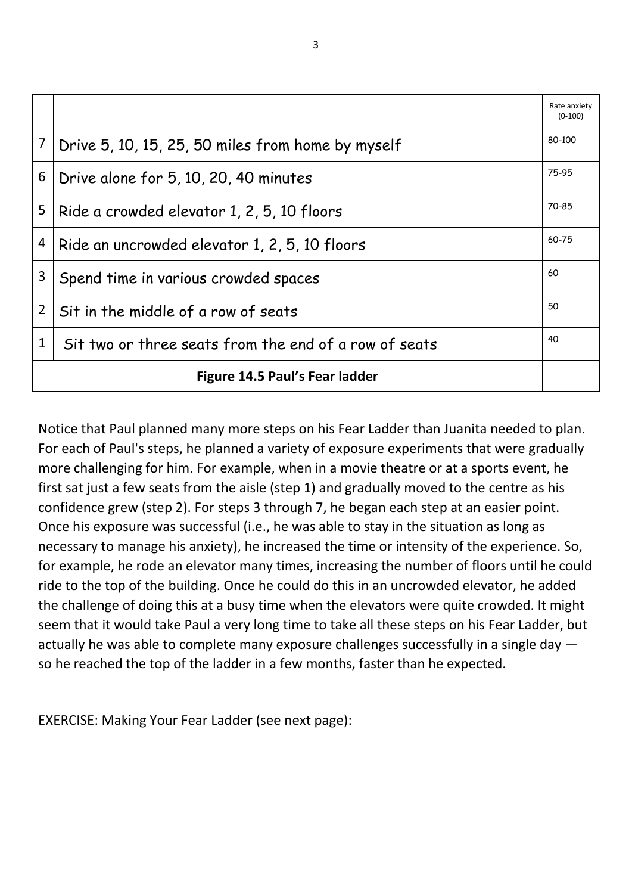|                |                                                       | Rate anxiety<br>$(0-100)$ |
|----------------|-------------------------------------------------------|---------------------------|
| $\overline{7}$ | Drive 5, 10, 15, 25, 50 miles from home by myself     | 80-100                    |
| 6              | Drive alone for 5, 10, 20, 40 minutes                 | 75-95                     |
| 5              | Ride a crowded elevator 1, 2, 5, 10 floors            | 70-85                     |
| 4              | Ride an uncrowded elevator 1, 2, 5, 10 floors         | 60-75                     |
| 3              | Spend time in various crowded spaces                  | 60                        |
| $\overline{2}$ | Sit in the middle of a row of seats                   | 50                        |
| $\mathbf 1$    | Sit two or three seats from the end of a row of seats | 40                        |
|                | Figure 14.5 Paul's Fear ladder                        |                           |

Notice that Paul planned many more steps on his Fear Ladder than Juanita needed to plan. For each of Paul's steps, he planned a variety of exposure experiments that were gradually more challenging for him. For example, when in a movie theatre or at a sports event, he first sat just a few seats from the aisle (step 1) and gradually moved to the centre as his confidence grew (step 2). For steps 3 through 7, he began each step at an easier point. Once his exposure was successful (i.e., he was able to stay in the situation as long as necessary to manage his anxiety), he increased the time or intensity of the experience. So, for example, he rode an elevator many times, increasing the number of floors until he could ride to the top of the building. Once he could do this in an uncrowded elevator, he added the challenge of doing this at a busy time when the elevators were quite crowded. It might seem that it would take Paul a very long time to take all these steps on his Fear Ladder, but actually he was able to complete many exposure challenges successfully in a single day so he reached the top of the ladder in a few months, faster than he expected.

EXERCISE: Making Your Fear Ladder (see next page):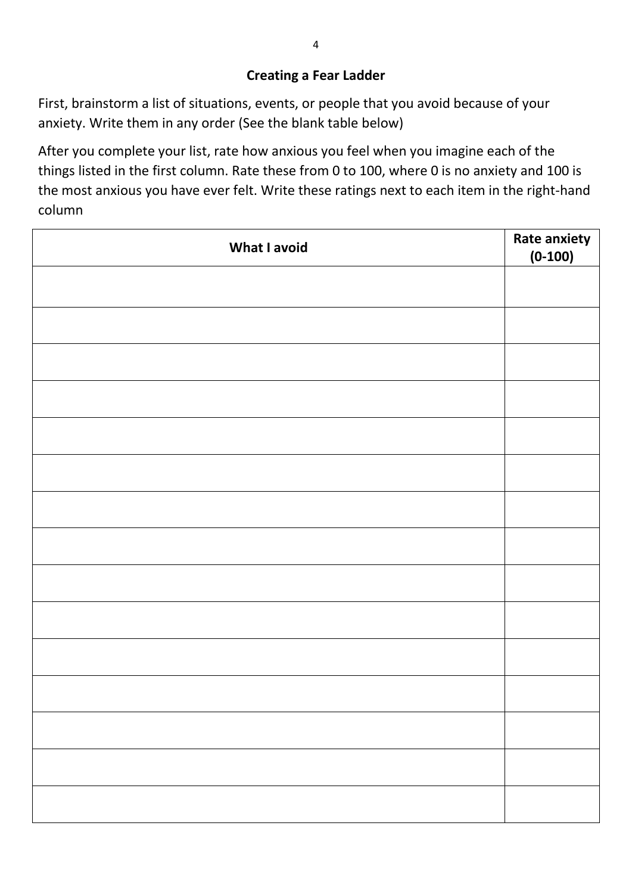## **Creating a Fear Ladder**

First, brainstorm a list of situations, events, or people that you avoid because of your anxiety. Write them in any order (See the blank table below)

After you complete your list, rate how anxious you feel when you imagine each of the things listed in the first column. Rate these from 0 to 100, where 0 is no anxiety and 100 is the most anxious you have ever felt. Write these ratings next to each item in the right-hand column

| What I avoid | <b>Rate anxiety</b><br>$(0-100)$ |
|--------------|----------------------------------|
|              |                                  |
|              |                                  |
|              |                                  |
|              |                                  |
|              |                                  |
|              |                                  |
|              |                                  |
|              |                                  |
|              |                                  |
|              |                                  |
|              |                                  |
|              |                                  |
|              |                                  |
|              |                                  |
|              |                                  |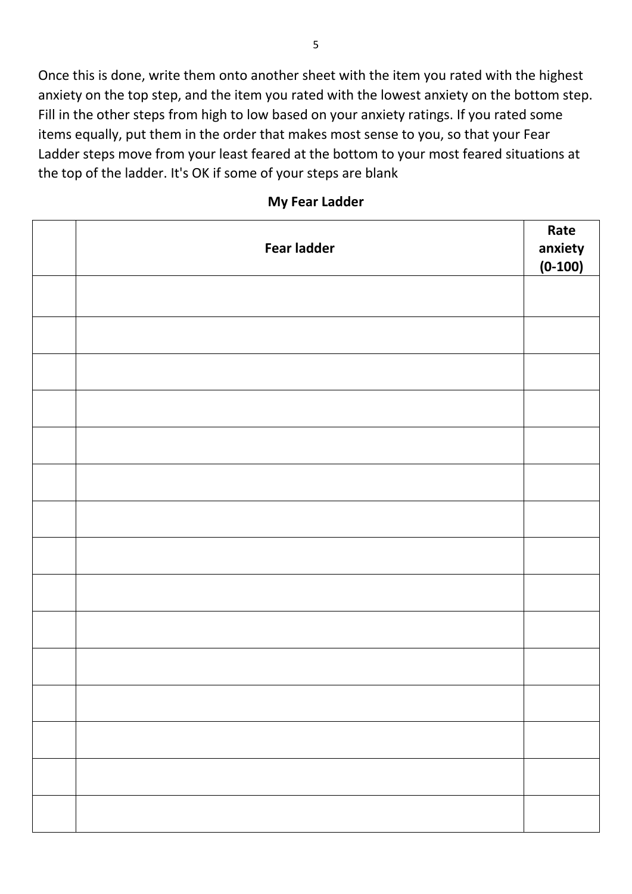Once this is done, write them onto another sheet with the item you rated with the highest anxiety on the top step, and the item you rated with the lowest anxiety on the bottom step. Fill in the other steps from high to low based on your anxiety ratings. If you rated some items equally, put them in the order that makes most sense to you, so that your Fear Ladder steps move from your least feared at the bottom to your most feared situations at the top of the ladder. It's OK if some of your steps are blank

| <b>Fear ladder</b> | Rate<br>anxiety<br>(0-100) |
|--------------------|----------------------------|
|                    |                            |
|                    |                            |
|                    |                            |
|                    |                            |
|                    |                            |
|                    |                            |
|                    |                            |
|                    |                            |
|                    |                            |
|                    |                            |
|                    |                            |
|                    |                            |
|                    |                            |
|                    |                            |
|                    |                            |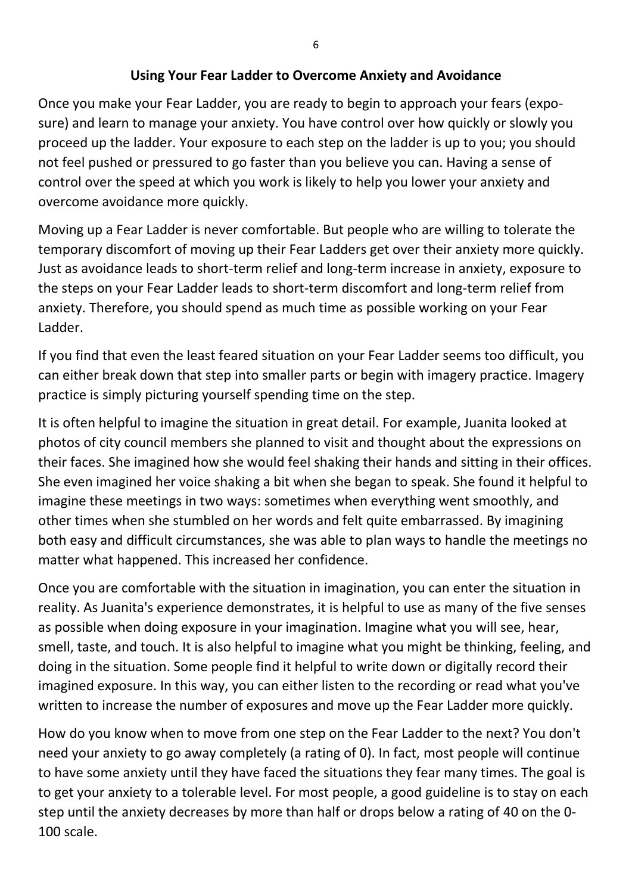## **Using Your Fear Ladder to Overcome Anxiety and Avoidance**

Once you make your Fear Ladder, you are ready to begin to approach your fears (exposure) and learn to manage your anxiety. You have control over how quickly or slowly you proceed up the ladder. Your exposure to each step on the ladder is up to you; you should not feel pushed or pressured to go faster than you believe you can. Having a sense of control over the speed at which you work is likely to help you lower your anxiety and overcome avoidance more quickly.

Moving up a Fear Ladder is never comfortable. But people who are willing to tolerate the temporary discomfort of moving up their Fear Ladders get over their anxiety more quickly. Just as avoidance leads to short-term relief and long-term increase in anxiety, exposure to the steps on your Fear Ladder leads to short-term discomfort and long-term relief from anxiety. Therefore, you should spend as much time as possible working on your Fear Ladder.

If you find that even the least feared situation on your Fear Ladder seems too difficult, you can either break down that step into smaller parts or begin with imagery practice. Imagery practice is simply picturing yourself spending time on the step.

It is often helpful to imagine the situation in great detail. For example, Juanita looked at photos of city council members she planned to visit and thought about the expressions on their faces. She imagined how she would feel shaking their hands and sitting in their offices. She even imagined her voice shaking a bit when she began to speak. She found it helpful to imagine these meetings in two ways: sometimes when everything went smoothly, and other times when she stumbled on her words and felt quite embarrassed. By imagining both easy and difficult circumstances, she was able to plan ways to handle the meetings no matter what happened. This increased her confidence.

Once you are comfortable with the situation in imagination, you can enter the situation in reality. As Juanita's experience demonstrates, it is helpful to use as many of the five senses as possible when doing exposure in your imagination. Imagine what you will see, hear, smell, taste, and touch. It is also helpful to imagine what you might be thinking, feeling, and doing in the situation. Some people find it helpful to write down or digitally record their imagined exposure. In this way, you can either listen to the recording or read what you've written to increase the number of exposures and move up the Fear Ladder more quickly.

How do you know when to move from one step on the Fear Ladder to the next? You don't need your anxiety to go away completely (a rating of 0). In fact, most people will continue to have some anxiety until they have faced the situations they fear many times. The goal is to get your anxiety to a tolerable level. For most people, a good guideline is to stay on each step until the anxiety decreases by more than half or drops below a rating of 40 on the 0- 100 scale.